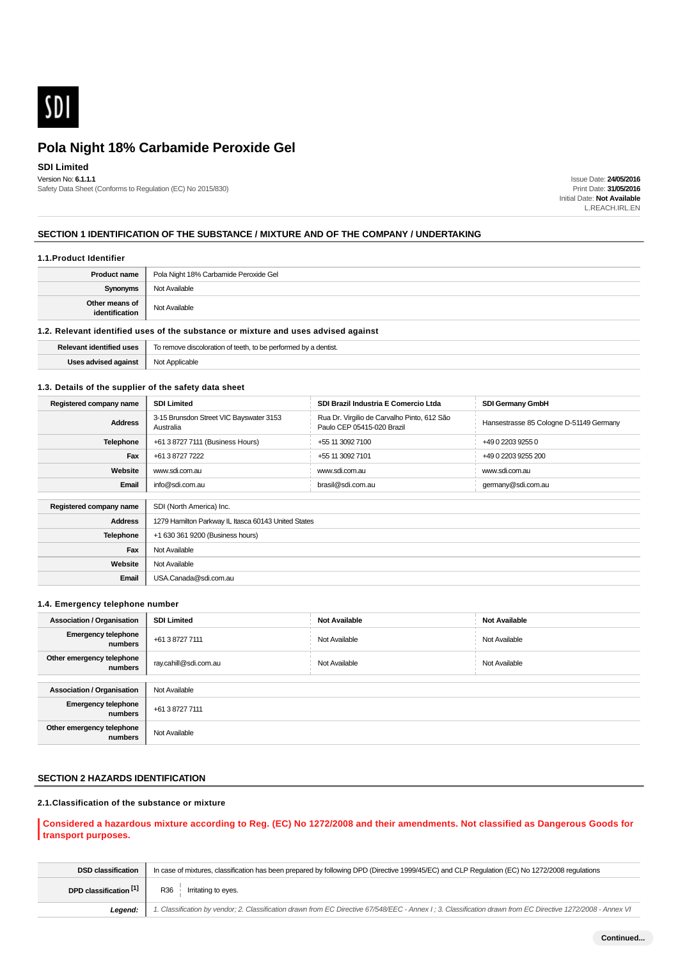

# **SDI Limited**

Version No: **6.1.1.1** Safety Data Sheet (Conforms to Regulation (EC) No 2015/830)

Issue Date: **24/05/2016** Print Date: **31/05/2016** Initial Date: **Not Available** L.REACH.IRL.EN

### **SECTION 1 IDENTIFICATION OF THE SUBSTANCE / MIXTURE AND OF THE COMPANY / UNDERTAKING**

#### **1.1.Product Identifier**

| <b>Product name</b>              | Pola Night 18% Carbamide Peroxide Gel |
|----------------------------------|---------------------------------------|
| <b>Synonyms</b>                  | Not Available                         |
| Other means of<br>identification | Not Available                         |

# **1.2. Relevant identified uses of the substance or mixture and uses advised against**

| Relevant.<br>l uses<br>a identitic | ' a dentist.<br>rom<br>e performed by<br> |
|------------------------------------|-------------------------------------------|
| Joon odu<br>s auviseu auainst      | Applicable<br>Not<br>____                 |

### **1.3. Details of the supplier of the safety data sheet**

| Registered company name | <b>SDI Limited</b>                                   | SDI Brazil Industria E Comercio Ltda                                      | <b>SDI Germany GmbH</b>                 |  |
|-------------------------|------------------------------------------------------|---------------------------------------------------------------------------|-----------------------------------------|--|
| <b>Address</b>          | 3-15 Brunsdon Street VIC Bayswater 3153<br>Australia | Rua Dr. Virgilio de Carvalho Pinto, 612 São<br>Paulo CEP 05415-020 Brazil | Hansestrasse 85 Cologne D-51149 Germany |  |
| <b>Telephone</b>        | +61 3 8727 7111 (Business Hours)                     | +55 11 3092 7100                                                          | +49 0 2203 9255 0                       |  |
| Fax                     | +61 3 8727 7222                                      | +55 11 3092 7101                                                          | +49 0 2203 9255 200                     |  |
| Website                 | www.sdi.com.au                                       | www.sdi.com.au                                                            | www.sdi.com.au                          |  |
| Email                   | info@sdi.com.au                                      | brasil@sdi.com.au                                                         | germany@sdi.com.au                      |  |
|                         |                                                      |                                                                           |                                         |  |
| Registered company name | SDI (North America) Inc.                             |                                                                           |                                         |  |
| <b>Address</b>          | 1279 Hamilton Parkway IL Itasca 60143 United States  |                                                                           |                                         |  |
| <b>Telephone</b>        | +1 630 361 9200 (Business hours)                     |                                                                           |                                         |  |
| Fax                     | Not Available                                        |                                                                           |                                         |  |
| Website                 | Not Available                                        |                                                                           |                                         |  |
| Email                   | USA.Canada@sdi.com.au                                |                                                                           |                                         |  |

### **1.4. Emergency telephone number**

| <b>Association / Organisation</b>     | <b>SDI Limited</b>    | <b>Not Available</b> | <b>Not Available</b> |
|---------------------------------------|-----------------------|----------------------|----------------------|
| <b>Emergency telephone</b><br>numbers | +61 3 8727 7111       | Not Available        | Not Available        |
| Other emergency telephone<br>numbers  | ray.cahill@sdi.com.au | Not Available        | Not Available        |
|                                       |                       |                      |                      |
| <b>Association / Organisation</b>     | Not Available         |                      |                      |
| <b>Emergency telephone</b><br>numbers | +61 3 8727 7111       |                      |                      |
| Other emergency telephone<br>numbers  | Not Available         |                      |                      |

# **SECTION 2 HAZARDS IDENTIFICATION**

# **2.1.Classification of the substance or mixture**

# **Considered a hazardous mixture according to Reg. (EC) No 1272/2008 and their amendments. Not classified as Dangerous Goods for transport purposes.**

| <b>DSD classification</b> | In case of mixtures, classification has been prepared by following DPD (Directive 1999/45/EC) and CLP Regulation (EC) No 1272/2008 regulations              |
|---------------------------|-------------------------------------------------------------------------------------------------------------------------------------------------------------|
| DPD classification [1]    | R36<br>Irritating to eyes.                                                                                                                                  |
| Leaend:                   | 1. Classification by vendor; 2. Classification drawn from EC Directive 67/548/EEC - Annex I; 3. Classification drawn from EC Directive 1272/2008 - Annex VI |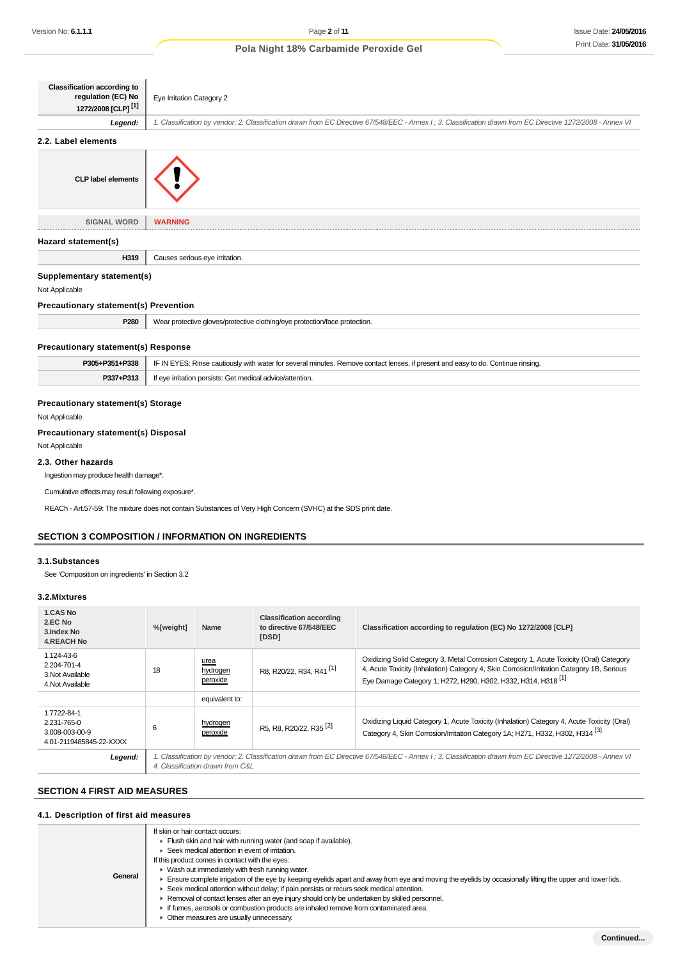| <b>Classification according to</b><br>regulation (EC) No<br>1272/2008 [CLP] <sup>[1]</sup> | Eye Irritation Category 2                                                                                                                                   |
|--------------------------------------------------------------------------------------------|-------------------------------------------------------------------------------------------------------------------------------------------------------------|
| Legend:                                                                                    | 1. Classification by vendor; 2. Classification drawn from EC Directive 67/548/EEC - Annex I; 3. Classification drawn from EC Directive 1272/2008 - Annex VI |
| 2.2. Label elements                                                                        |                                                                                                                                                             |
| <b>CLP label elements</b>                                                                  |                                                                                                                                                             |
| <b>SIGNAL WORD</b>                                                                         | <b>WARNING</b>                                                                                                                                              |
| Hazard statement(s)                                                                        |                                                                                                                                                             |
| H319                                                                                       | Causes serious eye irritation.                                                                                                                              |
| Supplementary statement(s)                                                                 |                                                                                                                                                             |
| Not Applicable                                                                             |                                                                                                                                                             |
| <b>Precautionary statement(s) Prevention</b>                                               |                                                                                                                                                             |
| P280                                                                                       | Wear protective gloves/protective clothing/eye protection/face protection.                                                                                  |
| <b>Precautionary statement(s) Response</b>                                                 |                                                                                                                                                             |
| P305+P351+P338                                                                             | IF IN EYES: Rinse cautiously with water for several minutes. Remove contact lenses, if present and easy to do. Continue rinsing.                            |
| P337+P313                                                                                  | If eye irritation persists: Get medical advice/attention.                                                                                                   |
| Precautionary statement(s) Storage<br>Not Applicable                                       |                                                                                                                                                             |
| Precautionary statement(s) Disposal                                                        |                                                                                                                                                             |
| Not Applicable                                                                             |                                                                                                                                                             |

# **2.3. Other hazards**

Ingestion may produce health damage\*.

Cumulative effects may result following exposure\*.

REACh - Art.57-59: The mixture does not contain Substances of Very High Concern (SVHC) at the SDS print date.

# **SECTION 3 COMPOSITION / INFORMATION ON INGREDIENTS**

### **3.1.Substances**

See 'Composition on ingredients' in Section 3.2

### **3.2.Mixtures**

| 1.CAS No<br>2.EC No<br>3. Index No<br><b>4.REACH No</b>                 | %[weight]                                                                                                                                                                                        | <b>Name</b>                  | <b>Classification according</b><br>to directive 67/548/EEC<br>[DSD] | Classification according to regulation (EC) No 1272/2008 [CLP]                                                                                                                                                                                                  |
|-------------------------------------------------------------------------|--------------------------------------------------------------------------------------------------------------------------------------------------------------------------------------------------|------------------------------|---------------------------------------------------------------------|-----------------------------------------------------------------------------------------------------------------------------------------------------------------------------------------------------------------------------------------------------------------|
| 1.124-43-6<br>2.204-701-4<br>3. Not Available<br>4. Not Available       | 18                                                                                                                                                                                               | urea<br>hydrogen<br>peroxide | R8. R20/22. R34. R41 <sup>[1]</sup>                                 | Oxidizing Solid Category 3, Metal Corrosion Category 1, Acute Toxicity (Oral) Category<br>4, Acute Toxicity (Inhalation) Category 4, Skin Corrosion/Irritation Category 1B, Serious<br>Eye Damage Category 1; H272, H290, H302, H332, H314, H318 <sup>[1]</sup> |
|                                                                         |                                                                                                                                                                                                  | equivalent to:               |                                                                     |                                                                                                                                                                                                                                                                 |
| 1.7722-84-1<br>2.231-765-0<br>3.008-003-00-9<br>4.01-2119485845-22-XXXX | 6                                                                                                                                                                                                | hydrogen<br>peroxide         | R5, R8, R20/22, R35 <sup>[2]</sup>                                  | Oxidizing Liquid Category 1, Acute Toxicity (Inhalation) Category 4, Acute Toxicity (Oral)<br>Category 4, Skin Corrosion/Irritation Category 1A; H271, H332, H302, H314 <sup>[3]</sup>                                                                          |
| Legend:                                                                 | 1. Classification by vendor; 2. Classification drawn from EC Directive 67/548/EEC - Annex I ; 3. Classification drawn from EC Directive 1272/2008 - Annex VI<br>4. Classification drawn from C&L |                              |                                                                     |                                                                                                                                                                                                                                                                 |

# **SECTION 4 FIRST AID MEASURES**

# **4.1. Description of first aid measures**

| General |
|---------|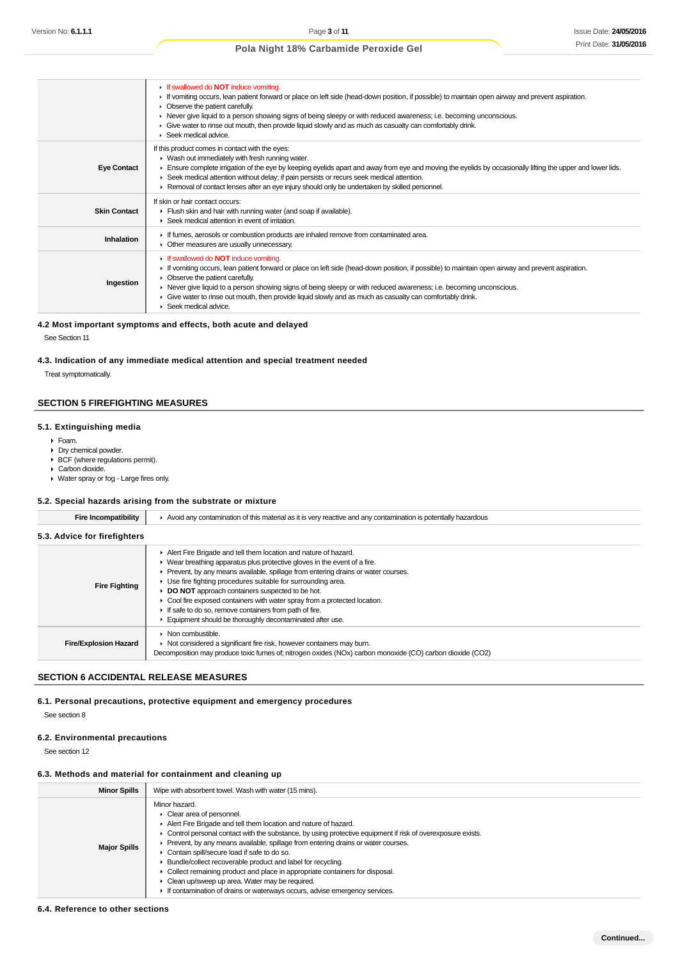|                     | If swallowed do <b>NOT</b> induce vomiting.<br>F If vomiting occurs, lean patient forward or place on left side (head-down position, if possible) to maintain open airway and prevent aspiration.<br>• Observe the patient carefully.<br>► Never give liquid to a person showing signs of being sleepy or with reduced awareness; i.e. becoming unconscious.<br>• Give water to rinse out mouth, then provide liquid slowly and as much as casualty can comfortably drink.<br>Seek medical advice. |
|---------------------|----------------------------------------------------------------------------------------------------------------------------------------------------------------------------------------------------------------------------------------------------------------------------------------------------------------------------------------------------------------------------------------------------------------------------------------------------------------------------------------------------|
| <b>Eye Contact</b>  | If this product comes in contact with the eyes:<br>$\blacktriangleright$ Wash out immediately with fresh running water.<br>Ensure complete irrigation of the eye by keeping eyelids apart and away from eye and moving the eyelids by occasionally lifting the upper and lower lids.<br>► Seek medical attention without delay; if pain persists or recurs seek medical attention.<br>► Removal of contact lenses after an eye injury should only be undertaken by skilled personnel.              |
| <b>Skin Contact</b> | If skin or hair contact occurs:<br>Flush skin and hair with running water (and soap if available).<br>▶ Seek medical attention in event of irritation.                                                                                                                                                                                                                                                                                                                                             |
| Inhalation          | If fumes, aerosols or combustion products are inhaled remove from contaminated area.<br>• Other measures are usually unnecessary.                                                                                                                                                                                                                                                                                                                                                                  |
| Ingestion           | If swallowed do <b>NOT</b> induce vomiting.<br>If vomiting occurs, lean patient forward or place on left side (head-down position, if possible) to maintain open airway and prevent aspiration.<br>• Observe the patient carefully.<br>► Never give liquid to a person showing signs of being sleepy or with reduced awareness; i.e. becoming unconscious.<br>Give water to rinse out mouth, then provide liquid slowly and as much as casualty can comfortably drink.<br>Seek medical advice.     |

### **4.2 Most important symptoms and effects, both acute and delayed**

See Section 11

#### **4.3. Indication of any immediate medical attention and special treatment needed**

Treat symptomatically.

### **SECTION 5 FIREFIGHTING MEASURES**

# **5.1. Extinguishing media**

- Foam.
- Dry chemical powder.
- BCF (where regulations permit).
- Carbon dioxide.
- Water spray or fog Large fires only.

### **5.2. Special hazards arising from the substrate or mixture**

| <b>Fire Incompatibility</b>  | ► Avoid any contamination of this material as it is very reactive and any contamination is potentially hazardous                                                                                                                                                                                                                                                                                                                                                                                                                                       |  |  |  |  |  |
|------------------------------|--------------------------------------------------------------------------------------------------------------------------------------------------------------------------------------------------------------------------------------------------------------------------------------------------------------------------------------------------------------------------------------------------------------------------------------------------------------------------------------------------------------------------------------------------------|--|--|--|--|--|
| 5.3. Advice for firefighters |                                                                                                                                                                                                                                                                                                                                                                                                                                                                                                                                                        |  |  |  |  |  |
| <b>Fire Fighting</b>         | Alert Fire Brigade and tell them location and nature of hazard.<br>▶ Wear breathing apparatus plus protective gloves in the event of a fire.<br>Prevent, by any means available, spillage from entering drains or water courses.<br>• Use fire fighting procedures suitable for surrounding area.<br>DO NOT approach containers suspected to be hot.<br>Cool fire exposed containers with water spray from a protected location.<br>If safe to do so, remove containers from path of fire.<br>Equipment should be thoroughly decontaminated after use. |  |  |  |  |  |
| <b>Fire/Explosion Hazard</b> | • Non combustible.<br>• Not considered a significant fire risk, however containers may burn.<br>Decomposition may produce toxic fumes of; nitrogen oxides (NOx) carbon monoxide (CO) carbon dioxide (CO2)                                                                                                                                                                                                                                                                                                                                              |  |  |  |  |  |

# **SECTION 6 ACCIDENTAL RELEASE MEASURES**

**6.1. Personal precautions, protective equipment and emergency procedures**

See section 8

### **6.2. Environmental precautions**

See section 12

### **6.3. Methods and material for containment and cleaning up**

| <b>Minor Spills</b> | Wipe with absorbent towel. Wash with water (15 mins).                                                                                                                                                                                                                                                                                                                                                                                                                                                                                                                                                                                                                |  |  |  |  |
|---------------------|----------------------------------------------------------------------------------------------------------------------------------------------------------------------------------------------------------------------------------------------------------------------------------------------------------------------------------------------------------------------------------------------------------------------------------------------------------------------------------------------------------------------------------------------------------------------------------------------------------------------------------------------------------------------|--|--|--|--|
| <b>Major Spills</b> | Minor hazard.<br>$\triangleright$ Clear area of personnel.<br>Alert Fire Brigade and tell them location and nature of hazard.<br>• Control personal contact with the substance, by using protective equipment if risk of overexposure exists.<br>• Prevent, by any means available, spillage from entering drains or water courses.<br>Contain spill/secure load if safe to do so.<br>▶ Bundle/collect recoverable product and label for recycling.<br>• Collect remaining product and place in appropriate containers for disposal.<br>Clean up/sweep up area. Water may be required.<br>If contamination of drains or waterways occurs, advise emergency services. |  |  |  |  |

#### **6.4. Reference to other sections**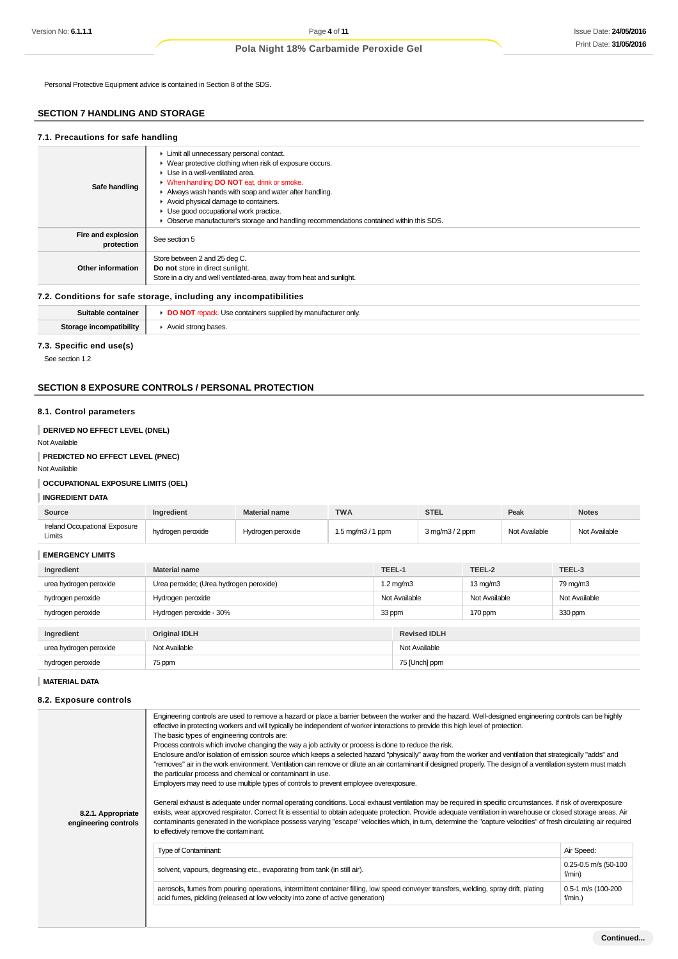Personal Protective Equipment advice is contained in Section 8 of the SDS.

# **SECTION 7 HANDLING AND STORAGE**

#### **7.1. Precautions for safe handling Safe handling Limit all unnecessary personal contact.** ▶ Wear protective clothing when risk of exposure occurs. ▶ Use in a well-ventilated area. When handling **DO NOT** eat, drink or smoke. Always wash hands with soap and water after handling. Avoid physical damage to containers. ► Use good occupational work practice. Observe manufacturer's storage and handling recommendations contained within this SDS. **Fire and explosion protection** See section 5 **Other information** Store between 2 and 25 deg C. **Do not** store in direct sunlight. Store in a dry and well ventilated-area, away from heat and sunlight. **7.2. Conditions for safe storage, including any incompatibilities**

|                         | s supplied<br>≀ man⊔ta<br>' onlv.<br>containers supt<br>лиге |
|-------------------------|--------------------------------------------------------------|
| Storage incompatibility | Avoid strong bases.                                          |
|                         |                                                              |

### **7.3. Specific end use(s)**

See section 1.2

### **SECTION 8 EXPOSURE CONTROLS / PERSONAL PROTECTION**

#### **8.1. Control parameters**

### **DERIVED NO EFFECT LEVEL (DNEL)**

Not Available

### **PREDICTED NO EFFECT LEVEL (PNEC)**

Not Available

# **OCCUPATIONAL EXPOSURE LIMITS (OEL)**

# **INGREDIENT DATA**

| Source                                  | <b>Inaredient</b> | <b>Material name</b> | <b>TWA</b>                          | STEL               | Peak          | <b>Notes</b>  |
|-----------------------------------------|-------------------|----------------------|-------------------------------------|--------------------|---------------|---------------|
| Ireland Occupational Exposure<br>Limits | hydrogen peroxide | Hydrogen peroxide    | $1.5 \text{ mg/m}3 / 1 \text{ ppm}$ | $3$ mg/m $3/2$ ppm | Not Available | Not Available |

| <b>EMERGENCY LIMITS</b> |                                         |        |                     |                      |               |
|-------------------------|-----------------------------------------|--------|---------------------|----------------------|---------------|
| Ingredient              | <b>Material name</b>                    | TEEL-1 |                     | TEEL-2               | TEEL-3        |
| urea hydrogen peroxide  | Urea peroxide; (Urea hydrogen peroxide) |        | $1.2 \text{ mg/m}$  | $13 \,\mathrm{mq/m}$ | 79 mg/m3      |
| hydrogen peroxide       | Hydrogen peroxide                       |        | Not Available       | Not Available        | Not Available |
| hydrogen peroxide       | Hydrogen peroxide - 30%                 | 33 ppm |                     | 170 ppm              | 330 ppm       |
|                         |                                         |        |                     |                      |               |
| Ingredient              | <b>Original IDLH</b>                    |        | <b>Revised IDLH</b> |                      |               |
| urea hydrogen peroxide  | Not Available                           |        | Not Available       |                      |               |
| hydrogen peroxide       | 75 ppm                                  |        | 75 [Unch] ppm       |                      |               |

**MATERIAL DATA**

#### **8.2. Exposure controls**

| 8.2.1. Appropriate<br>engineering controls | effective in protecting workers and will typically be independent of worker interactions to provide this high level of protection.<br>The basic types of engineering controls are:<br>Process controls which involve changing the way a job activity or process is done to reduce the risk.<br>Enclosure and/or isolation of emission source which keeps a selected hazard "physically" away from the worker and ventilation that strategically "adds" and<br>"removes" air in the work environment. Ventilation can remove or dilute an air contaminant if designed properly. The design of a ventilation system must match<br>the particular process and chemical or contaminant in use.<br>Employers may need to use multiple types of controls to prevent employee overexposure.<br>General exhaust is adequate under normal operating conditions. Local exhaust ventilation may be required in specific circumstances. If risk of overexposure<br>exists, wear approved respirator. Correct fit is essential to obtain adequate protection. Provide adequate ventilation in warehouse or closed storage areas. Air<br>contaminants generated in the workplace possess varying "escape" velocities which, in turn, determine the "capture velocities" of fresh circulating air required |                                    |  |  |
|--------------------------------------------|---------------------------------------------------------------------------------------------------------------------------------------------------------------------------------------------------------------------------------------------------------------------------------------------------------------------------------------------------------------------------------------------------------------------------------------------------------------------------------------------------------------------------------------------------------------------------------------------------------------------------------------------------------------------------------------------------------------------------------------------------------------------------------------------------------------------------------------------------------------------------------------------------------------------------------------------------------------------------------------------------------------------------------------------------------------------------------------------------------------------------------------------------------------------------------------------------------------------------------------------------------------------------------------------|------------------------------------|--|--|
|                                            | to effectively remove the contaminant.                                                                                                                                                                                                                                                                                                                                                                                                                                                                                                                                                                                                                                                                                                                                                                                                                                                                                                                                                                                                                                                                                                                                                                                                                                                      |                                    |  |  |
|                                            | Type of Contaminant:                                                                                                                                                                                                                                                                                                                                                                                                                                                                                                                                                                                                                                                                                                                                                                                                                                                                                                                                                                                                                                                                                                                                                                                                                                                                        | Air Speed:                         |  |  |
|                                            | solvent, vapours, degreasing etc., evaporating from tank (in still air).                                                                                                                                                                                                                                                                                                                                                                                                                                                                                                                                                                                                                                                                                                                                                                                                                                                                                                                                                                                                                                                                                                                                                                                                                    | $0.25 - 0.5$ m/s (50-100<br>f/min) |  |  |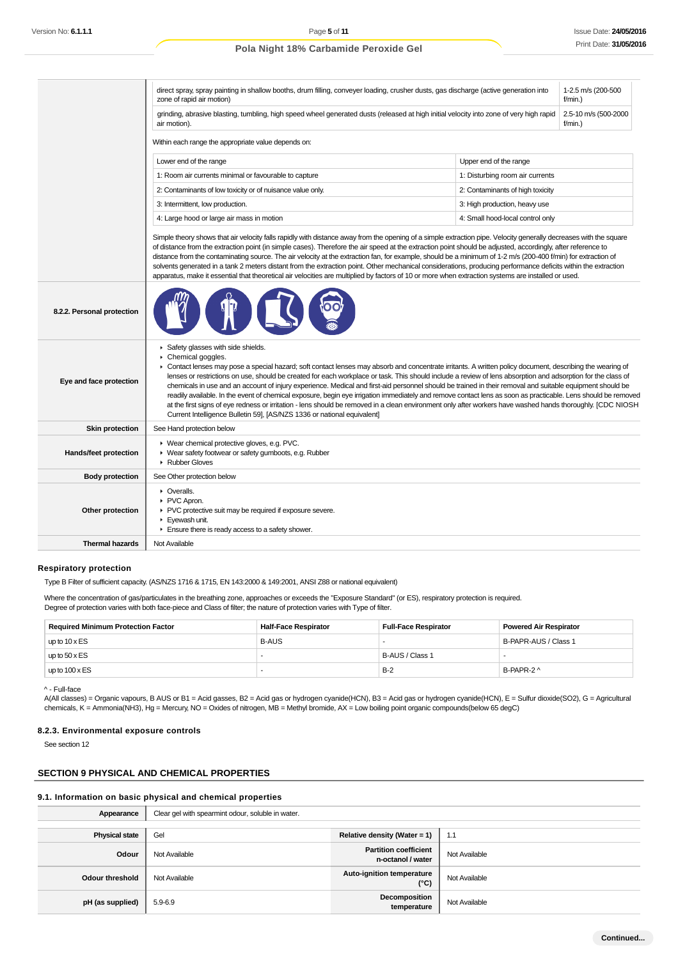| grinding, abrasive blasting, tumbling, high speed wheel generated dusts (released at high initial velocity into zone of very high rapid<br>2.5-10 m/s (500-2000<br>f/min.<br>air motion).<br>Within each range the appropriate value depends on:<br>Upper end of the range<br>Lower end of the range<br>1: Room air currents minimal or favourable to capture<br>1: Disturbing room air currents<br>2: Contaminants of low toxicity or of nuisance value only.<br>2: Contaminants of high toxicity<br>3: Intermittent, low production.<br>3: High production, heavy use<br>4: Large hood or large air mass in motion<br>4: Small hood-local control only<br>Simple theory shows that air velocity falls rapidly with distance away from the opening of a simple extraction pipe. Velocity generally decreases with the square<br>of distance from the extraction point (in simple cases). Therefore the air speed at the extraction point should be adjusted, accordingly, after reference to<br>distance from the contaminating source. The air velocity at the extraction fan, for example, should be a minimum of 1-2 m/s (200-400 f/min) for extraction of<br>solvents generated in a tank 2 meters distant from the extraction point. Other mechanical considerations, producing performance deficits within the extraction<br>apparatus, make it essential that theoretical air velocities are multiplied by factors of 10 or more when extraction systems are installed or used.<br>8.2.2. Personal protection<br>Safety glasses with side shields.<br>Chemical goggles.<br>٠<br>► Contact lenses may pose a special hazard; soft contact lenses may absorb and concentrate irritants. A written policy document, describing the wearing of<br>lenses or restrictions on use, should be created for each workplace or task. This should include a review of lens absorption and adsorption for the class of<br>Eye and face protection<br>chemicals in use and an account of injury experience. Medical and first-aid personnel should be trained in their removal and suitable equipment should be<br>readily available. In the event of chemical exposure, begin eye irrigation immediately and remove contact lens as soon as practicable. Lens should be removed<br>at the first signs of eye redness or irritation - lens should be removed in a clean environment only after workers have washed hands thoroughly. [CDC NIOSH<br>Current Intelligence Bulletin 59], [AS/NZS 1336 or national equivalent]<br><b>Skin protection</b><br>See Hand protection below<br>▶ Wear chemical protective gloves, e.g. PVC.<br><b>Hands/feet protection</b><br>▶ Wear safety footwear or safety gumboots, e.g. Rubber<br>Rubber Gloves<br><b>Body protection</b><br>See Other protection below<br>• Overalls.<br>PVC Apron.<br>▶ PVC protective suit may be required if exposure severe.<br>Other protection<br>Eyewash unit.<br>Ensure there is ready access to a safety shower.<br><b>Thermal hazards</b><br>Not Available | 1-2.5 m/s (200-500<br>direct spray, spray painting in shallow booths, drum filling, conveyer loading, crusher dusts, gas discharge (active generation into<br>zone of rapid air motion)<br>$f/min.$ ) |  |  |  |  |
|-------------------------------------------------------------------------------------------------------------------------------------------------------------------------------------------------------------------------------------------------------------------------------------------------------------------------------------------------------------------------------------------------------------------------------------------------------------------------------------------------------------------------------------------------------------------------------------------------------------------------------------------------------------------------------------------------------------------------------------------------------------------------------------------------------------------------------------------------------------------------------------------------------------------------------------------------------------------------------------------------------------------------------------------------------------------------------------------------------------------------------------------------------------------------------------------------------------------------------------------------------------------------------------------------------------------------------------------------------------------------------------------------------------------------------------------------------------------------------------------------------------------------------------------------------------------------------------------------------------------------------------------------------------------------------------------------------------------------------------------------------------------------------------------------------------------------------------------------------------------------------------------------------------------------------------------------------------------------------------------------------------------------------------------------------------------------------------------------------------------------------------------------------------------------------------------------------------------------------------------------------------------------------------------------------------------------------------------------------------------------------------------------------------------------------------------------------------------------------------------------------------------------------------------------------------------------------------------------------------------------------------------------------------------------------------------------------------------------------------------------------------------------------------------------------------------------------------------------------------------------------------------------------------------------------------------------------------------------------------------------------------------------------|-------------------------------------------------------------------------------------------------------------------------------------------------------------------------------------------------------|--|--|--|--|
|                                                                                                                                                                                                                                                                                                                                                                                                                                                                                                                                                                                                                                                                                                                                                                                                                                                                                                                                                                                                                                                                                                                                                                                                                                                                                                                                                                                                                                                                                                                                                                                                                                                                                                                                                                                                                                                                                                                                                                                                                                                                                                                                                                                                                                                                                                                                                                                                                                                                                                                                                                                                                                                                                                                                                                                                                                                                                                                                                                                                                               |                                                                                                                                                                                                       |  |  |  |  |
|                                                                                                                                                                                                                                                                                                                                                                                                                                                                                                                                                                                                                                                                                                                                                                                                                                                                                                                                                                                                                                                                                                                                                                                                                                                                                                                                                                                                                                                                                                                                                                                                                                                                                                                                                                                                                                                                                                                                                                                                                                                                                                                                                                                                                                                                                                                                                                                                                                                                                                                                                                                                                                                                                                                                                                                                                                                                                                                                                                                                                               |                                                                                                                                                                                                       |  |  |  |  |
|                                                                                                                                                                                                                                                                                                                                                                                                                                                                                                                                                                                                                                                                                                                                                                                                                                                                                                                                                                                                                                                                                                                                                                                                                                                                                                                                                                                                                                                                                                                                                                                                                                                                                                                                                                                                                                                                                                                                                                                                                                                                                                                                                                                                                                                                                                                                                                                                                                                                                                                                                                                                                                                                                                                                                                                                                                                                                                                                                                                                                               |                                                                                                                                                                                                       |  |  |  |  |
|                                                                                                                                                                                                                                                                                                                                                                                                                                                                                                                                                                                                                                                                                                                                                                                                                                                                                                                                                                                                                                                                                                                                                                                                                                                                                                                                                                                                                                                                                                                                                                                                                                                                                                                                                                                                                                                                                                                                                                                                                                                                                                                                                                                                                                                                                                                                                                                                                                                                                                                                                                                                                                                                                                                                                                                                                                                                                                                                                                                                                               |                                                                                                                                                                                                       |  |  |  |  |
|                                                                                                                                                                                                                                                                                                                                                                                                                                                                                                                                                                                                                                                                                                                                                                                                                                                                                                                                                                                                                                                                                                                                                                                                                                                                                                                                                                                                                                                                                                                                                                                                                                                                                                                                                                                                                                                                                                                                                                                                                                                                                                                                                                                                                                                                                                                                                                                                                                                                                                                                                                                                                                                                                                                                                                                                                                                                                                                                                                                                                               |                                                                                                                                                                                                       |  |  |  |  |
|                                                                                                                                                                                                                                                                                                                                                                                                                                                                                                                                                                                                                                                                                                                                                                                                                                                                                                                                                                                                                                                                                                                                                                                                                                                                                                                                                                                                                                                                                                                                                                                                                                                                                                                                                                                                                                                                                                                                                                                                                                                                                                                                                                                                                                                                                                                                                                                                                                                                                                                                                                                                                                                                                                                                                                                                                                                                                                                                                                                                                               |                                                                                                                                                                                                       |  |  |  |  |
|                                                                                                                                                                                                                                                                                                                                                                                                                                                                                                                                                                                                                                                                                                                                                                                                                                                                                                                                                                                                                                                                                                                                                                                                                                                                                                                                                                                                                                                                                                                                                                                                                                                                                                                                                                                                                                                                                                                                                                                                                                                                                                                                                                                                                                                                                                                                                                                                                                                                                                                                                                                                                                                                                                                                                                                                                                                                                                                                                                                                                               |                                                                                                                                                                                                       |  |  |  |  |
|                                                                                                                                                                                                                                                                                                                                                                                                                                                                                                                                                                                                                                                                                                                                                                                                                                                                                                                                                                                                                                                                                                                                                                                                                                                                                                                                                                                                                                                                                                                                                                                                                                                                                                                                                                                                                                                                                                                                                                                                                                                                                                                                                                                                                                                                                                                                                                                                                                                                                                                                                                                                                                                                                                                                                                                                                                                                                                                                                                                                                               |                                                                                                                                                                                                       |  |  |  |  |
|                                                                                                                                                                                                                                                                                                                                                                                                                                                                                                                                                                                                                                                                                                                                                                                                                                                                                                                                                                                                                                                                                                                                                                                                                                                                                                                                                                                                                                                                                                                                                                                                                                                                                                                                                                                                                                                                                                                                                                                                                                                                                                                                                                                                                                                                                                                                                                                                                                                                                                                                                                                                                                                                                                                                                                                                                                                                                                                                                                                                                               |                                                                                                                                                                                                       |  |  |  |  |
|                                                                                                                                                                                                                                                                                                                                                                                                                                                                                                                                                                                                                                                                                                                                                                                                                                                                                                                                                                                                                                                                                                                                                                                                                                                                                                                                                                                                                                                                                                                                                                                                                                                                                                                                                                                                                                                                                                                                                                                                                                                                                                                                                                                                                                                                                                                                                                                                                                                                                                                                                                                                                                                                                                                                                                                                                                                                                                                                                                                                                               |                                                                                                                                                                                                       |  |  |  |  |
|                                                                                                                                                                                                                                                                                                                                                                                                                                                                                                                                                                                                                                                                                                                                                                                                                                                                                                                                                                                                                                                                                                                                                                                                                                                                                                                                                                                                                                                                                                                                                                                                                                                                                                                                                                                                                                                                                                                                                                                                                                                                                                                                                                                                                                                                                                                                                                                                                                                                                                                                                                                                                                                                                                                                                                                                                                                                                                                                                                                                                               |                                                                                                                                                                                                       |  |  |  |  |
|                                                                                                                                                                                                                                                                                                                                                                                                                                                                                                                                                                                                                                                                                                                                                                                                                                                                                                                                                                                                                                                                                                                                                                                                                                                                                                                                                                                                                                                                                                                                                                                                                                                                                                                                                                                                                                                                                                                                                                                                                                                                                                                                                                                                                                                                                                                                                                                                                                                                                                                                                                                                                                                                                                                                                                                                                                                                                                                                                                                                                               |                                                                                                                                                                                                       |  |  |  |  |
|                                                                                                                                                                                                                                                                                                                                                                                                                                                                                                                                                                                                                                                                                                                                                                                                                                                                                                                                                                                                                                                                                                                                                                                                                                                                                                                                                                                                                                                                                                                                                                                                                                                                                                                                                                                                                                                                                                                                                                                                                                                                                                                                                                                                                                                                                                                                                                                                                                                                                                                                                                                                                                                                                                                                                                                                                                                                                                                                                                                                                               |                                                                                                                                                                                                       |  |  |  |  |
|                                                                                                                                                                                                                                                                                                                                                                                                                                                                                                                                                                                                                                                                                                                                                                                                                                                                                                                                                                                                                                                                                                                                                                                                                                                                                                                                                                                                                                                                                                                                                                                                                                                                                                                                                                                                                                                                                                                                                                                                                                                                                                                                                                                                                                                                                                                                                                                                                                                                                                                                                                                                                                                                                                                                                                                                                                                                                                                                                                                                                               |                                                                                                                                                                                                       |  |  |  |  |
|                                                                                                                                                                                                                                                                                                                                                                                                                                                                                                                                                                                                                                                                                                                                                                                                                                                                                                                                                                                                                                                                                                                                                                                                                                                                                                                                                                                                                                                                                                                                                                                                                                                                                                                                                                                                                                                                                                                                                                                                                                                                                                                                                                                                                                                                                                                                                                                                                                                                                                                                                                                                                                                                                                                                                                                                                                                                                                                                                                                                                               |                                                                                                                                                                                                       |  |  |  |  |

#### **Respiratory protection**

Type B Filter of sufficient capacity. (AS/NZS 1716 & 1715, EN 143:2000 & 149:2001, ANSI Z88 or national equivalent)

Where the concentration of gas/particulates in the breathing zone, approaches or exceeds the "Exposure Standard" (or ES), respiratory protection is required. Degree of protection varies with both face-piece and Class of filter; the nature of protection varies with Type of filter.

| <b>Required Minimum Protection Factor</b> | <b>Half-Face Respirator</b> | <b>Full-Face Respirator</b> | <b>Powered Air Respirator</b> |
|-------------------------------------------|-----------------------------|-----------------------------|-------------------------------|
| up to $10 \times ES$                      | <b>B-AUS</b>                |                             | B-PAPR-AUS / Class 1          |
| up to $50 \times ES$                      |                             | B-AUS / Class 1             | . .                           |
| up to $100 \times ES$                     |                             | $B-2$                       | B-PAPR-2 ^                    |

^ - Full-face

A(All classes) = Organic vapours, B AUS or B1 = Acid gasses, B2 = Acid gas or hydrogen cyanide(HCN), B3 = Acid gas or hydrogen cyanide(HCN), E = Sulfur dioxide(SO2), G = Agricultural chemicals, K = Ammonia(NH3), Hg = Mercury, NO = Oxides of nitrogen, MB = Methyl bromide, AX = Low boiling point organic compounds(below 65 degC)

#### **8.2.3. Environmental exposure controls**

See section 12

# **SECTION 9 PHYSICAL AND CHEMICAL PROPERTIES**

# **9.1. Information on basic physical and chemical properties**

Appearance **Clear gel with spearmint odour, soluble in water. Physical state** Gel **Gel <b>Relative density (Water = 1)** 1.1 **Odour** Not Available **Partition coefficient rtition coefficient**<br> **n-octanol / water** Not Available **Odour threshold** Not Available **Auto-ignition temperature Auto-ignition temperature** Not Available **pH** (as supplied)  $\begin{bmatrix} 5.9-6.9 \end{bmatrix}$  5.5.5.5.9 **composition**<br>**temperature** Not Available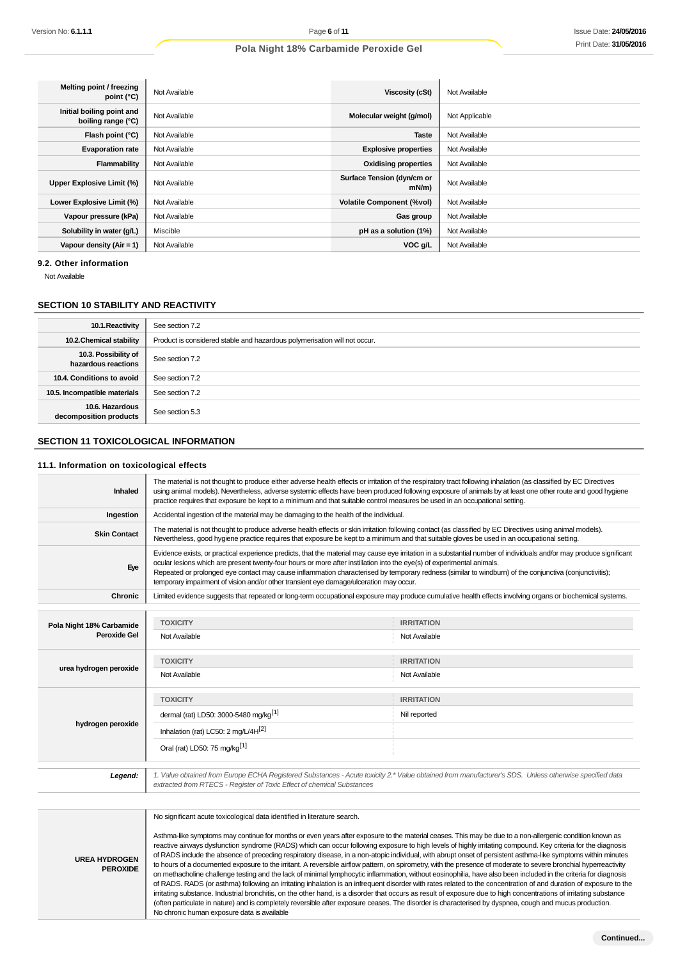| Melting point / freezing<br>point (°C)          | Not Available | Viscosity (cSt)                        | Not Available  |
|-------------------------------------------------|---------------|----------------------------------------|----------------|
| Initial boiling point and<br>boiling range (°C) | Not Available | Molecular weight (g/mol)               | Not Applicable |
| Flash point (°C)                                | Not Available | <b>Taste</b>                           | Not Available  |
| <b>Evaporation rate</b>                         | Not Available | <b>Explosive properties</b>            | Not Available  |
| Flammability                                    | Not Available | <b>Oxidising properties</b>            | Not Available  |
| Upper Explosive Limit (%)                       | Not Available | Surface Tension (dyn/cm or<br>$mN/m$ ) | Not Available  |
| Lower Explosive Limit (%)                       | Not Available | <b>Volatile Component (%vol)</b>       | Not Available  |
| Vapour pressure (kPa)                           | Not Available | Gas group                              | Not Available  |
| Solubility in water (g/L)                       | Miscible      | pH as a solution (1%)                  | Not Available  |
| Vapour density ( $Air = 1$ )                    | Not Available | VOC g/L                                | Not Available  |

**9.2. Other information**

Not Available

# **SECTION 10 STABILITY AND REACTIVITY**

| 10.1. Reactivity                            | See section 7.2                                                           |
|---------------------------------------------|---------------------------------------------------------------------------|
| 10.2. Chemical stability                    | Product is considered stable and hazardous polymerisation will not occur. |
| 10.3. Possibility of<br>hazardous reactions | See section 7.2                                                           |
| 10.4. Conditions to avoid                   | See section 7.2                                                           |
| 10.5. Incompatible materials                | See section 7.2                                                           |
| 10.6. Hazardous<br>decomposition products   | See section 5.3                                                           |

### **SECTION 11 TOXICOLOGICAL INFORMATION**

### **11.1. Information on toxicological effects**

**UREA HYDROGEN PEROXIDE**

| Inhaled                  | The material is not thought to produce either adverse health effects or irritation of the respiratory tract following inhalation (as classified by EC Directives<br>using animal models). Nevertheless, adverse systemic effects have been produced following exposure of animals by at least one other route and good hygiene<br>practice requires that exposure be kept to a minimum and that suitable control measures be used in an occupational setting. |                                                                                                                                                                                                                                                                                                                                                                                                                                                                                                                                                   |  |  |  |
|--------------------------|---------------------------------------------------------------------------------------------------------------------------------------------------------------------------------------------------------------------------------------------------------------------------------------------------------------------------------------------------------------------------------------------------------------------------------------------------------------|---------------------------------------------------------------------------------------------------------------------------------------------------------------------------------------------------------------------------------------------------------------------------------------------------------------------------------------------------------------------------------------------------------------------------------------------------------------------------------------------------------------------------------------------------|--|--|--|
| Ingestion                | Accidental ingestion of the material may be damaging to the health of the individual.                                                                                                                                                                                                                                                                                                                                                                         |                                                                                                                                                                                                                                                                                                                                                                                                                                                                                                                                                   |  |  |  |
| <b>Skin Contact</b>      | The material is not thought to produce adverse health effects or skin irritation following contact (as classified by EC Directives using animal models).<br>Nevertheless, good hygiene practice requires that exposure be kept to a minimum and that suitable gloves be used in an occupational setting.                                                                                                                                                      |                                                                                                                                                                                                                                                                                                                                                                                                                                                                                                                                                   |  |  |  |
| Eye                      |                                                                                                                                                                                                                                                                                                                                                                                                                                                               | Evidence exists, or practical experience predicts, that the material may cause eye irritation in a substantial number of individuals and/or may produce significant<br>ocular lesions which are present twenty-four hours or more after instillation into the eye(s) of experimental animals.<br>Repeated or prolonged eye contact may cause inflammation characterised by temporary redness (similar to windburn) of the conjunctiva (conjunctivitis);<br>temporary impairment of vision and/or other transient eye damage/ulceration may occur. |  |  |  |
| <b>Chronic</b>           | Limited evidence suggests that repeated or long-term occupational exposure may produce cumulative health effects involving organs or biochemical systems.                                                                                                                                                                                                                                                                                                     |                                                                                                                                                                                                                                                                                                                                                                                                                                                                                                                                                   |  |  |  |
|                          |                                                                                                                                                                                                                                                                                                                                                                                                                                                               |                                                                                                                                                                                                                                                                                                                                                                                                                                                                                                                                                   |  |  |  |
| Pola Night 18% Carbamide | <b>TOXICITY</b>                                                                                                                                                                                                                                                                                                                                                                                                                                               | <b>IRRITATION</b>                                                                                                                                                                                                                                                                                                                                                                                                                                                                                                                                 |  |  |  |
| <b>Peroxide Gel</b>      | Not Available                                                                                                                                                                                                                                                                                                                                                                                                                                                 | Not Available                                                                                                                                                                                                                                                                                                                                                                                                                                                                                                                                     |  |  |  |
| urea hydrogen peroxide   | <b>TOXICITY</b>                                                                                                                                                                                                                                                                                                                                                                                                                                               | <b>IRRITATION</b>                                                                                                                                                                                                                                                                                                                                                                                                                                                                                                                                 |  |  |  |
|                          | Not Available                                                                                                                                                                                                                                                                                                                                                                                                                                                 | Not Available                                                                                                                                                                                                                                                                                                                                                                                                                                                                                                                                     |  |  |  |
|                          | <b>TOXICITY</b>                                                                                                                                                                                                                                                                                                                                                                                                                                               | <b>IRRITATION</b>                                                                                                                                                                                                                                                                                                                                                                                                                                                                                                                                 |  |  |  |
|                          | dermal (rat) LD50: 3000-5480 mg/kg <sup>[1]</sup>                                                                                                                                                                                                                                                                                                                                                                                                             | Nil reported                                                                                                                                                                                                                                                                                                                                                                                                                                                                                                                                      |  |  |  |
| hydrogen peroxide        | Inhalation (rat) LC50: 2 mg/L/4H <sup>[2]</sup>                                                                                                                                                                                                                                                                                                                                                                                                               |                                                                                                                                                                                                                                                                                                                                                                                                                                                                                                                                                   |  |  |  |
|                          | Oral (rat) LD50: 75 mg/kg <sup>[1]</sup>                                                                                                                                                                                                                                                                                                                                                                                                                      |                                                                                                                                                                                                                                                                                                                                                                                                                                                                                                                                                   |  |  |  |
|                          |                                                                                                                                                                                                                                                                                                                                                                                                                                                               |                                                                                                                                                                                                                                                                                                                                                                                                                                                                                                                                                   |  |  |  |
| Legend:                  | 1. Value obtained from Europe ECHA Registered Substances - Acute toxicity 2.* Value obtained from manufacturer's SDS. Unless otherwise specified data<br>extracted from RTECS - Register of Toxic Effect of chemical Substances                                                                                                                                                                                                                               |                                                                                                                                                                                                                                                                                                                                                                                                                                                                                                                                                   |  |  |  |
|                          |                                                                                                                                                                                                                                                                                                                                                                                                                                                               |                                                                                                                                                                                                                                                                                                                                                                                                                                                                                                                                                   |  |  |  |
|                          | No significant acute toxicological data identified in literature search.                                                                                                                                                                                                                                                                                                                                                                                      |                                                                                                                                                                                                                                                                                                                                                                                                                                                                                                                                                   |  |  |  |
|                          | Asthma-like symptoms may continue for months or even years after exposure to the material ceases. This may be due to a non-allergenic condition known as                                                                                                                                                                                                                                                                                                      |                                                                                                                                                                                                                                                                                                                                                                                                                                                                                                                                                   |  |  |  |

reactive airways dysfunction syndrome (RADS) which can occur following exposure to high levels of highly irritating compound. Key criteria for the diagnosis of RADS include the absence of preceding respiratory disease, in a non-atopic individual, with abrupt onset of persistent asthma-like symptoms within minutes to hours of a documented exposure to the irritant. A reversible airflow pattern, on spirometry, with the presence of moderate to severe bronchial hyperreactivity on methacholine challenge testing and the lack of minimal lymphocytic inflammation, without eosinophilia, have also been included in the criteria for diagnosis of RADS. RADS (or asthma) following an irritating inhalation is an infrequent disorder with rates related to the concentration of and duration of exposure to the irritating substance. Industrial bronchitis, on the other hand, is a disorder that occurs as result of exposure due to high concentrations of irritating substance (often particulate in nature) and is completely reversible after exposure ceases. The disorder is characterised by dyspnea, cough and mucus production. No chronic human exposure data is available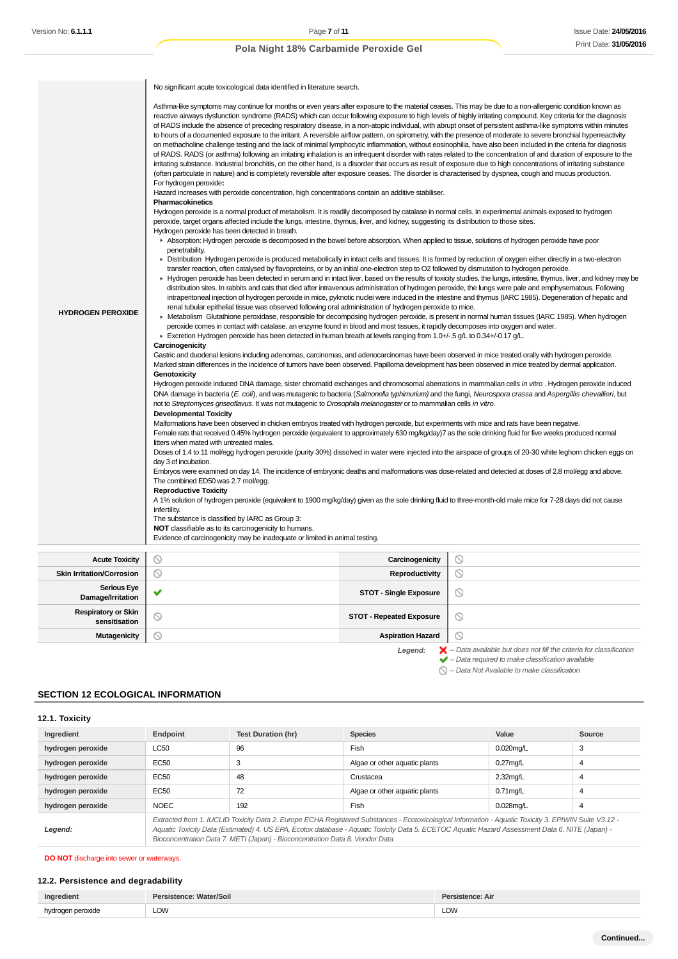|                                             | No significant acute toxicological data identified in literature search.                                                                                                                                                                                                                                                                                                                                                                                                                                                                                                                                                                                                                                                                                                                                                                                                                                                                                                                                                                                                                                                                                                                                                                                                                                                                                          |                                          |                                                                                                                                                                                                                                                                                                                                                                                                                                                                                                |  |
|---------------------------------------------|-------------------------------------------------------------------------------------------------------------------------------------------------------------------------------------------------------------------------------------------------------------------------------------------------------------------------------------------------------------------------------------------------------------------------------------------------------------------------------------------------------------------------------------------------------------------------------------------------------------------------------------------------------------------------------------------------------------------------------------------------------------------------------------------------------------------------------------------------------------------------------------------------------------------------------------------------------------------------------------------------------------------------------------------------------------------------------------------------------------------------------------------------------------------------------------------------------------------------------------------------------------------------------------------------------------------------------------------------------------------|------------------------------------------|------------------------------------------------------------------------------------------------------------------------------------------------------------------------------------------------------------------------------------------------------------------------------------------------------------------------------------------------------------------------------------------------------------------------------------------------------------------------------------------------|--|
|                                             | Asthma-like symptoms may continue for months or even years after exposure to the material ceases. This may be due to a non-allergenic condition known as<br>reactive airways dysfunction syndrome (RADS) which can occur following exposure to high levels of highly irritating compound. Key criteria for the diagnosis<br>of RADS include the absence of preceding respiratory disease, in a non-atopic individual, with abrupt onset of persistent asthma-like symptoms within minutes<br>to hours of a documented exposure to the irritant. A reversible airflow pattern, on spirometry, with the presence of moderate to severe bronchial hyperreactivity<br>on methacholine challenge testing and the lack of minimal lymphocytic inflammation, without eosinophilia, have also been included in the criteria for diagnosis<br>of RADS. RADS (or asthma) following an irritating inhalation is an infrequent disorder with rates related to the concentration of and duration of exposure to the<br>irritating substance. Industrial bronchitis, on the other hand, is a disorder that occurs as result of exposure due to high concentrations of irritating substance<br>(often particulate in nature) and is completely reversible after exposure ceases. The disorder is characterised by dyspnea, cough and mucus production.<br>For hydrogen peroxide: |                                          |                                                                                                                                                                                                                                                                                                                                                                                                                                                                                                |  |
|                                             | Hazard increases with peroxide concentration, high concentrations contain an additive stabiliser.<br>Pharmacokinetics                                                                                                                                                                                                                                                                                                                                                                                                                                                                                                                                                                                                                                                                                                                                                                                                                                                                                                                                                                                                                                                                                                                                                                                                                                             |                                          |                                                                                                                                                                                                                                                                                                                                                                                                                                                                                                |  |
|                                             | Hydrogen peroxide is a normal product of metabolism. It is readily decomposed by catalase in normal cells. In experimental animals exposed to hydrogen<br>peroxide, target organs affected include the lungs, intestine, thymus, liver, and kidney, suggesting its distribution to those sites.<br>Hydrogen peroxide has been detected in breath.                                                                                                                                                                                                                                                                                                                                                                                                                                                                                                                                                                                                                                                                                                                                                                                                                                                                                                                                                                                                                 |                                          |                                                                                                                                                                                                                                                                                                                                                                                                                                                                                                |  |
|                                             | Absorption: Hydrogen peroxide is decomposed in the bowel before absorption. When applied to tissue, solutions of hydrogen peroxide have poor<br>penetrability.                                                                                                                                                                                                                                                                                                                                                                                                                                                                                                                                                                                                                                                                                                                                                                                                                                                                                                                                                                                                                                                                                                                                                                                                    |                                          |                                                                                                                                                                                                                                                                                                                                                                                                                                                                                                |  |
|                                             | ► Distribution Hydrogen peroxide is produced metabolically in intact cells and tissues. It is formed by reduction of oxygen either directly in a two-electron<br>transfer reaction, often catalysed by flavoproteins, or by an initial one-electron step to O2 followed by dismutation to hydrogen peroxide.                                                                                                                                                                                                                                                                                                                                                                                                                                                                                                                                                                                                                                                                                                                                                                                                                                                                                                                                                                                                                                                      |                                          |                                                                                                                                                                                                                                                                                                                                                                                                                                                                                                |  |
|                                             |                                                                                                                                                                                                                                                                                                                                                                                                                                                                                                                                                                                                                                                                                                                                                                                                                                                                                                                                                                                                                                                                                                                                                                                                                                                                                                                                                                   |                                          | ► Hydrogen peroxide has been detected in serum and in intact liver. based on the results of toxicity studies, the lungs, intestine, thymus, liver, and kidney may be<br>distribution sites. In rabbits and cats that died after intravenous administration of hydrogen peroxide, the lungs were pale and emphysematous. Following<br>intraperitoneal injection of hydrogen peroxide in mice, pyknotic nuclei were induced in the intestine and thymus (IARC 1985). Degeneration of hepatic and |  |
| <b>HYDROGEN PEROXIDE</b>                    | renal tubular epithelial tissue was observed following oral administration of hydrogen peroxide to mice.<br>► Metabolism Glutathione peroxidase, responsible for decomposing hydrogen peroxide, is present in normal human tissues (IARC 1985). When hydrogen                                                                                                                                                                                                                                                                                                                                                                                                                                                                                                                                                                                                                                                                                                                                                                                                                                                                                                                                                                                                                                                                                                     |                                          |                                                                                                                                                                                                                                                                                                                                                                                                                                                                                                |  |
|                                             | peroxide comes in contact with catalase, an enzyme found in blood and most tissues, it rapidly decomposes into oxygen and water.                                                                                                                                                                                                                                                                                                                                                                                                                                                                                                                                                                                                                                                                                                                                                                                                                                                                                                                                                                                                                                                                                                                                                                                                                                  |                                          |                                                                                                                                                                                                                                                                                                                                                                                                                                                                                                |  |
|                                             | ► Excretion Hydrogen peroxide has been detected in human breath at levels ranging from 1.0+/-.5 g/L to 0.34+/-0.17 g/L.<br>Carcinogenicity                                                                                                                                                                                                                                                                                                                                                                                                                                                                                                                                                                                                                                                                                                                                                                                                                                                                                                                                                                                                                                                                                                                                                                                                                        |                                          |                                                                                                                                                                                                                                                                                                                                                                                                                                                                                                |  |
|                                             | Gastric and duodenal lesions including adenomas, carcinomas, and adenocarcinomas have been observed in mice treated orally with hydrogen peroxide.                                                                                                                                                                                                                                                                                                                                                                                                                                                                                                                                                                                                                                                                                                                                                                                                                                                                                                                                                                                                                                                                                                                                                                                                                |                                          |                                                                                                                                                                                                                                                                                                                                                                                                                                                                                                |  |
|                                             | Marked strain differences in the incidence of tumors have been observed. Papilloma development has been observed in mice treated by dermal application.                                                                                                                                                                                                                                                                                                                                                                                                                                                                                                                                                                                                                                                                                                                                                                                                                                                                                                                                                                                                                                                                                                                                                                                                           |                                          |                                                                                                                                                                                                                                                                                                                                                                                                                                                                                                |  |
|                                             | Genotoxicity<br>Hydrogen peroxide induced DNA damage, sister chromatid exchanges and chromosomal aberrations in mammalian cells in vitro. Hydrogen peroxide induced                                                                                                                                                                                                                                                                                                                                                                                                                                                                                                                                                                                                                                                                                                                                                                                                                                                                                                                                                                                                                                                                                                                                                                                               |                                          |                                                                                                                                                                                                                                                                                                                                                                                                                                                                                                |  |
|                                             | DNA damage in bacteria (E. coli), and was mutagenic to bacteria (Salmonella typhimurium) and the fungi, Neurospora crassa and Aspergillis chevallieri, but                                                                                                                                                                                                                                                                                                                                                                                                                                                                                                                                                                                                                                                                                                                                                                                                                                                                                                                                                                                                                                                                                                                                                                                                        |                                          |                                                                                                                                                                                                                                                                                                                                                                                                                                                                                                |  |
|                                             | not to Streptomyces griseoflavus. It was not mutagenic to Drosophila melanogaster or to mammalian cells in vitro.<br><b>Developmental Toxicity</b>                                                                                                                                                                                                                                                                                                                                                                                                                                                                                                                                                                                                                                                                                                                                                                                                                                                                                                                                                                                                                                                                                                                                                                                                                |                                          |                                                                                                                                                                                                                                                                                                                                                                                                                                                                                                |  |
|                                             | Malformations have been observed in chicken embryos treated with hydrogen peroxide, but experiments with mice and rats have been negative.                                                                                                                                                                                                                                                                                                                                                                                                                                                                                                                                                                                                                                                                                                                                                                                                                                                                                                                                                                                                                                                                                                                                                                                                                        |                                          |                                                                                                                                                                                                                                                                                                                                                                                                                                                                                                |  |
|                                             | Female rats that received 0.45% hydrogen peroxide (equivalent to approximately 630 mg/kg/day)7 as the sole drinking fluid for five weeks produced normal<br>litters when mated with untreated males.                                                                                                                                                                                                                                                                                                                                                                                                                                                                                                                                                                                                                                                                                                                                                                                                                                                                                                                                                                                                                                                                                                                                                              |                                          |                                                                                                                                                                                                                                                                                                                                                                                                                                                                                                |  |
|                                             | Doses of 1.4 to 11 mol/egg hydrogen peroxide (purity 30%) dissolved in water were injected into the airspace of groups of 20-30 white leghorn chicken eggs on                                                                                                                                                                                                                                                                                                                                                                                                                                                                                                                                                                                                                                                                                                                                                                                                                                                                                                                                                                                                                                                                                                                                                                                                     |                                          |                                                                                                                                                                                                                                                                                                                                                                                                                                                                                                |  |
|                                             | day 3 of incubation.                                                                                                                                                                                                                                                                                                                                                                                                                                                                                                                                                                                                                                                                                                                                                                                                                                                                                                                                                                                                                                                                                                                                                                                                                                                                                                                                              |                                          |                                                                                                                                                                                                                                                                                                                                                                                                                                                                                                |  |
|                                             | Embryos were examined on day 14. The incidence of embryonic deaths and malformations was dose-related and detected at doses of 2.8 mol/egg and above.<br>The combined ED50 was 2.7 mol/egg.                                                                                                                                                                                                                                                                                                                                                                                                                                                                                                                                                                                                                                                                                                                                                                                                                                                                                                                                                                                                                                                                                                                                                                       |                                          |                                                                                                                                                                                                                                                                                                                                                                                                                                                                                                |  |
|                                             | <b>Reproductive Toxicity</b>                                                                                                                                                                                                                                                                                                                                                                                                                                                                                                                                                                                                                                                                                                                                                                                                                                                                                                                                                                                                                                                                                                                                                                                                                                                                                                                                      |                                          |                                                                                                                                                                                                                                                                                                                                                                                                                                                                                                |  |
|                                             | A 1% solution of hydrogen peroxide (equivalent to 1900 mg/kg/day) given as the sole drinking fluid to three-month-old male mice for 7-28 days did not cause<br>infertility.                                                                                                                                                                                                                                                                                                                                                                                                                                                                                                                                                                                                                                                                                                                                                                                                                                                                                                                                                                                                                                                                                                                                                                                       |                                          |                                                                                                                                                                                                                                                                                                                                                                                                                                                                                                |  |
|                                             | The substance is classified by IARC as Group 3:                                                                                                                                                                                                                                                                                                                                                                                                                                                                                                                                                                                                                                                                                                                                                                                                                                                                                                                                                                                                                                                                                                                                                                                                                                                                                                                   |                                          |                                                                                                                                                                                                                                                                                                                                                                                                                                                                                                |  |
|                                             | <b>NOT</b> classifiable as to its carcinogenicity to humans.<br>Evidence of carcinogenicity may be inadequate or limited in animal testing.                                                                                                                                                                                                                                                                                                                                                                                                                                                                                                                                                                                                                                                                                                                                                                                                                                                                                                                                                                                                                                                                                                                                                                                                                       |                                          |                                                                                                                                                                                                                                                                                                                                                                                                                                                                                                |  |
| <b>Acute Toxicity</b>                       |                                                                                                                                                                                                                                                                                                                                                                                                                                                                                                                                                                                                                                                                                                                                                                                                                                                                                                                                                                                                                                                                                                                                                                                                                                                                                                                                                                   |                                          |                                                                                                                                                                                                                                                                                                                                                                                                                                                                                                |  |
| <b>Skin Irritation/Corrosion</b>            | O<br>O                                                                                                                                                                                                                                                                                                                                                                                                                                                                                                                                                                                                                                                                                                                                                                                                                                                                                                                                                                                                                                                                                                                                                                                                                                                                                                                                                            | Carcinogenicity<br><b>Reproductivity</b> | $\circledcirc$<br>$\circledcirc$                                                                                                                                                                                                                                                                                                                                                                                                                                                               |  |
| <b>Serious Eye</b>                          |                                                                                                                                                                                                                                                                                                                                                                                                                                                                                                                                                                                                                                                                                                                                                                                                                                                                                                                                                                                                                                                                                                                                                                                                                                                                                                                                                                   |                                          |                                                                                                                                                                                                                                                                                                                                                                                                                                                                                                |  |
| Damage/Irritation                           | ✔                                                                                                                                                                                                                                                                                                                                                                                                                                                                                                                                                                                                                                                                                                                                                                                                                                                                                                                                                                                                                                                                                                                                                                                                                                                                                                                                                                 | <b>STOT - Single Exposure</b>            | $\circledcirc$                                                                                                                                                                                                                                                                                                                                                                                                                                                                                 |  |
| <b>Respiratory or Skin</b><br>sensitisation | O                                                                                                                                                                                                                                                                                                                                                                                                                                                                                                                                                                                                                                                                                                                                                                                                                                                                                                                                                                                                                                                                                                                                                                                                                                                                                                                                                                 | <b>STOT - Repeated Exposure</b>          | ல                                                                                                                                                                                                                                                                                                                                                                                                                                                                                              |  |
| <b>Mutagenicity</b>                         | O                                                                                                                                                                                                                                                                                                                                                                                                                                                                                                                                                                                                                                                                                                                                                                                                                                                                                                                                                                                                                                                                                                                                                                                                                                                                                                                                                                 | <b>Aspiration Hazard</b>                 | ◎                                                                                                                                                                                                                                                                                                                                                                                                                                                                                              |  |

Legend:  $\blacktriangleright$  - Data available but does not fill the criteria for classification<br>  $\blacktriangleright$  - Data required to make classification available

 $\bigcirc$  – Data Not Available to make classification

# **SECTION 12 ECOLOGICAL INFORMATION**

# **12.1. Toxicity**

| Ingredient        | Endpoint                                                                                                                                                                                                                                                                                                                                                                                 | <b>Test Duration (hr)</b> | <b>Species</b>                | Value        | Source |
|-------------------|------------------------------------------------------------------------------------------------------------------------------------------------------------------------------------------------------------------------------------------------------------------------------------------------------------------------------------------------------------------------------------------|---------------------------|-------------------------------|--------------|--------|
| hydrogen peroxide | <b>LC50</b>                                                                                                                                                                                                                                                                                                                                                                              | 96                        | Fish                          | $0.020$ mg/L | 3      |
| hydrogen peroxide | EC50                                                                                                                                                                                                                                                                                                                                                                                     | 3                         | Algae or other aquatic plants | $0.27$ mg/L  | 4      |
| hydrogen peroxide | EC50                                                                                                                                                                                                                                                                                                                                                                                     | 48                        | Crustacea                     | 2.32mg/L     | 4      |
| hydrogen peroxide | <b>EC50</b>                                                                                                                                                                                                                                                                                                                                                                              | 72                        | Algae or other aguatic plants | $0.71$ mg/L  | 4      |
| hydrogen peroxide | <b>NOEC</b>                                                                                                                                                                                                                                                                                                                                                                              | 192                       | Fish                          | $0.028$ mg/L | 4      |
| Legend:           | Extracted from 1. IUCLID Toxicity Data 2. Europe ECHA Registered Substances - Ecotoxicological Information - Aquatic Toxicity 3. EPIWIN Suite V3.12 -<br>Aquatic Toxicity Data (Estimated) 4. US EPA, Ecotox database - Aquatic Toxicity Data 5. ECETOC Aquatic Hazard Assessment Data 6. NITE (Japan) -<br>Bioconcentration Data 7. METI (Japan) - Bioconcentration Data 8. Vendor Data |                           |                               |              |        |

**DO NOT** discharge into sewer or waterways.

# **12.2. Persistence and degradability**

| Ingredient        | Persistence: Water/Soil | Persistence: Air |
|-------------------|-------------------------|------------------|
| hydrogen peroxide | LOW                     | LOW              |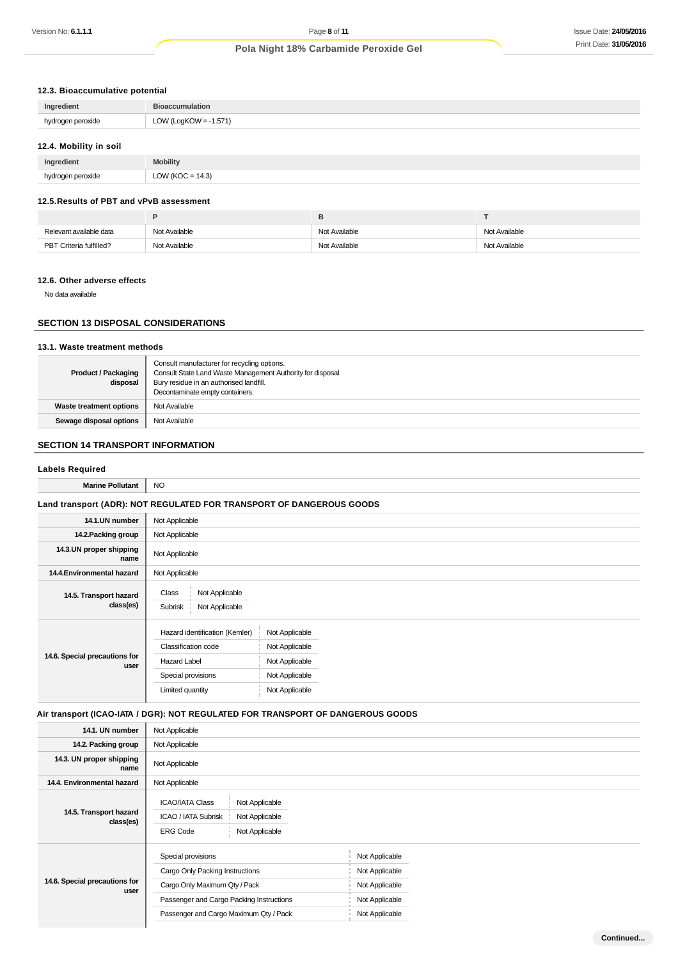# **12.3. Bioaccumulative potential**

| Ingredient             | <b>Bioaccumulation</b>   |
|------------------------|--------------------------|
| hydrogen peroxide      | LOW (LogKOW = $-1.571$ ) |
| 12.4. Mobility in soil |                          |

| Ingredient          | <b>Mobility</b>  |
|---------------------|------------------|
| i peroxide<br>$  -$ | LOW (KOC = 14.3) |

#### **12.5.Results of PBT and vPvB assessment**

| Relevant available data | Not Available | Not Available | Not Available |
|-------------------------|---------------|---------------|---------------|
| PBT Criteria fulfilled? | Not Available | Not Available | Not Available |

# **12.6. Other adverse effects**

No data available

# **SECTION 13 DISPOSAL CONSIDERATIONS**

# **13.1. Waste treatment methods**

| <b>Product / Packaging</b><br>disposal | Consult manufacturer for recycling options.<br>Consult State Land Waste Management Authority for disposal.<br>Bury residue in an authorised landfill. |
|----------------------------------------|-------------------------------------------------------------------------------------------------------------------------------------------------------|
|                                        | Decontaminate empty containers.                                                                                                                       |
| <b>Waste treatment options</b>         | Not Available                                                                                                                                         |
| Sewage disposal options                | Not Available                                                                                                                                         |

# **SECTION 14 TRANSPORT INFORMATION**

### **Labels Required**

| <b>Marine Pollutant</b>               | NO.                                                                                                                    |                                                                                        |
|---------------------------------------|------------------------------------------------------------------------------------------------------------------------|----------------------------------------------------------------------------------------|
|                                       |                                                                                                                        | Land transport (ADR): NOT REGULATED FOR TRANSPORT OF DANGEROUS GOODS                   |
| 14.1.UN number                        | Not Applicable                                                                                                         |                                                                                        |
| 14.2. Packing group                   | Not Applicable                                                                                                         |                                                                                        |
| 14.3.UN proper shipping<br>name       | Not Applicable                                                                                                         |                                                                                        |
| 14.4. Environmental hazard            | Not Applicable                                                                                                         |                                                                                        |
| 14.5. Transport hazard<br>class(es)   | Class<br>Not Applicable<br>Subrisk<br>Not Applicable                                                                   |                                                                                        |
| 14.6. Special precautions for<br>user | Hazard identification (Kemler)<br>Classification code<br><b>Hazard Label</b><br>Special provisions<br>Limited quantity | Not Applicable<br>Not Applicable<br>Not Applicable<br>Not Applicable<br>Not Applicable |

# **Air transport (ICAO-IATA / DGR): NOT REGULATED FOR TRANSPORT OF DANGEROUS GOODS**

| 14.1. UN number                       | Not Applicable                                                                                                                                                               |                                                                                        |
|---------------------------------------|------------------------------------------------------------------------------------------------------------------------------------------------------------------------------|----------------------------------------------------------------------------------------|
| 14.2. Packing group                   | Not Applicable                                                                                                                                                               |                                                                                        |
| 14.3. UN proper shipping<br>name      | Not Applicable                                                                                                                                                               |                                                                                        |
| 14.4. Environmental hazard            | Not Applicable                                                                                                                                                               |                                                                                        |
| 14.5. Transport hazard<br>class(es)   | <b>ICAO/IATA Class</b><br>Not Applicable<br>ICAO / IATA Subrisk<br>Not Applicable<br>Not Applicable<br><b>ERG Code</b>                                                       |                                                                                        |
| 14.6. Special precautions for<br>user | Special provisions<br>Cargo Only Packing Instructions<br>Cargo Only Maximum Qty / Pack<br>Passenger and Cargo Packing Instructions<br>Passenger and Cargo Maximum Qty / Pack | Not Applicable<br>Not Applicable<br>Not Applicable<br>Not Applicable<br>Not Applicable |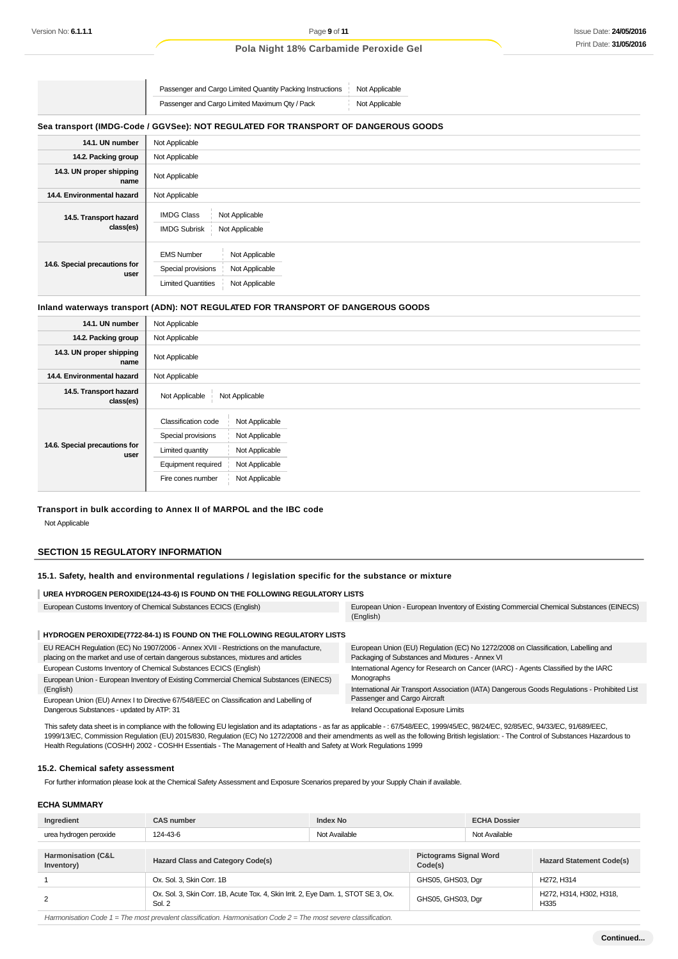Passenger and Cargo Limited Quantity Packing Instructions Not Applicable Passenger and Cargo Limited Maximum Qty / Pack Not Applicable

### **Sea transport (IMDG-Code / GGVSee): NOT REGULATED FOR TRANSPORT OF DANGEROUS GOODS**

| 14.1. UN number                       | Not Applicable                                                                                                             |
|---------------------------------------|----------------------------------------------------------------------------------------------------------------------------|
| 14.2. Packing group                   | Not Applicable                                                                                                             |
| 14.3. UN proper shipping<br>name      | Not Applicable                                                                                                             |
| 14.4. Environmental hazard            | Not Applicable                                                                                                             |
| 14.5. Transport hazard<br>class(es)   | <b>IMDG Class</b><br>Not Applicable<br><b>IMDG Subrisk</b><br>Not Applicable                                               |
| 14.6. Special precautions for<br>user | <b>EMS Number</b><br>Not Applicable<br>Special provisions<br>Not Applicable<br>Not Applicable<br><b>Limited Quantities</b> |

### **Inland waterways transport (ADN): NOT REGULATED FOR TRANSPORT OF DANGEROUS GOODS**

| 14.1. UN number                       | Not Applicable                                                                                                                                                                                     |
|---------------------------------------|----------------------------------------------------------------------------------------------------------------------------------------------------------------------------------------------------|
| 14.2. Packing group                   | Not Applicable                                                                                                                                                                                     |
| 14.3. UN proper shipping<br>name      | Not Applicable                                                                                                                                                                                     |
| 14.4. Environmental hazard            | Not Applicable                                                                                                                                                                                     |
| 14.5. Transport hazard<br>class(es)   | Not Applicable<br>Not Applicable                                                                                                                                                                   |
| 14.6. Special precautions for<br>user | Classification code<br>Not Applicable<br>Special provisions<br>Not Applicable<br>Not Applicable<br>Limited quantity<br>Equipment required<br>Not Applicable<br>Not Applicable<br>Fire cones number |

### **Transport in bulk according to Annex II of MARPOL and the IBC code**

Not Applicable

### **SECTION 15 REGULATORY INFORMATION**

#### **15.1. Safety, health and environmental regulations / legislation specific for the substance or mixture**

#### **UREA HYDROGEN PEROXIDE(124-43-6) IS FOUND ON THE FOLLOWING REGULATORY LISTS**

| European Customs Inventory of Chemical Substances ECICS (English)                                                                                                             | European Union - European Inventory of Existing Commercial Chemical Substances (EINECS)<br>(English)                                 |
|-------------------------------------------------------------------------------------------------------------------------------------------------------------------------------|--------------------------------------------------------------------------------------------------------------------------------------|
| HYDROGEN PEROXIDE(7722-84-1) IS FOUND ON THE FOLLOWING REGULATORY LISTS                                                                                                       |                                                                                                                                      |
| EU REACH Regulation (EC) No 1907/2006 - Annex XVII - Restrictions on the manufacture,<br>placing on the market and use of certain dangerous substances, mixtures and articles | European Union (EU) Regulation (EC) No 1272/2008 on Classification, Labelling and<br>Packaging of Substances and Mixtures - Annex VI |
| European Customs Inventory of Chemical Substances ECICS (English)                                                                                                             | International Agency for Research on Cancer (IARC) - Agents Classified by the IARC                                                   |
| European Union - European Inventory of Existing Commercial Chemical Substances (EINECS)                                                                                       | Monographs                                                                                                                           |
| (English)                                                                                                                                                                     | International Air Transport Association (IATA) Dangerous Goods Regulations - Prohibited List                                         |

European Union (EU) Annex I to Directive 67/548/EEC on Classification and Labelling of Dangerous Substances - updated by ATP: 31

ion (IATA) Dangerous Goods Regu Passenger and Cargo Aircraft Ireland Occupational Exposure Limits

This safety data sheet is in compliance with the following EU legislation and its adaptations - as far as applicable -: 67/548/EEC, 1999/45/EC, 94/24/EC, 92/85/EC, 94/33/EC, 91/689/EEC, 1999/13/EC, Commission Regulation (EU) 2015/830, Regulation (EC) No 1272/2008 and their amendments as well as the following British legislation: - The Control of Substances Hazardous to Health Regulations (COSHH) 2002 - COSHH Essentials - The Management of Health and Safety at Work Regulations 1999

#### **15.2. Chemical safety assessment**

For further information please look at the Chemical Safety Assessment and Exposure Scenarios prepared by your Supply Chain if available.

### **ECHA SUMMARY**

| Ingredient                                  | <b>Index No</b><br><b>CAS number</b>                                                         |               |                                          | <b>ECHA Dossier</b> |                                     |
|---------------------------------------------|----------------------------------------------------------------------------------------------|---------------|------------------------------------------|---------------------|-------------------------------------|
| urea hydrogen peroxide                      | 124-43-6                                                                                     | Not Available |                                          | Not Available       |                                     |
|                                             |                                                                                              |               |                                          |                     |                                     |
| <b>Harmonisation (C&amp;L</b><br>Inventory) | <b>Hazard Class and Category Code(s)</b>                                                     |               | <b>Pictograms Signal Word</b><br>Code(s) |                     | <b>Hazard Statement Code(s)</b>     |
|                                             | Ox. Sol. 3. Skin Corr. 1B                                                                    |               | GHS05, GHS03, Dgr                        |                     | H <sub>272</sub> . H <sub>314</sub> |
| 2                                           | Ox. Sol. 3, Skin Corr. 1B, Acute Tox. 4, Skin Irrit. 2, Eye Dam. 1, STOT SE 3, Ox.<br>Sol. 2 |               | GHS05, GHS03, Dgr                        |                     | H272, H314, H302, H318,<br>H335     |
|                                             |                                                                                              |               |                                          |                     |                                     |

Harmonisation Code  $1 =$  The most prevalent classification. Harmonisation Code  $2 =$  The most severe classification.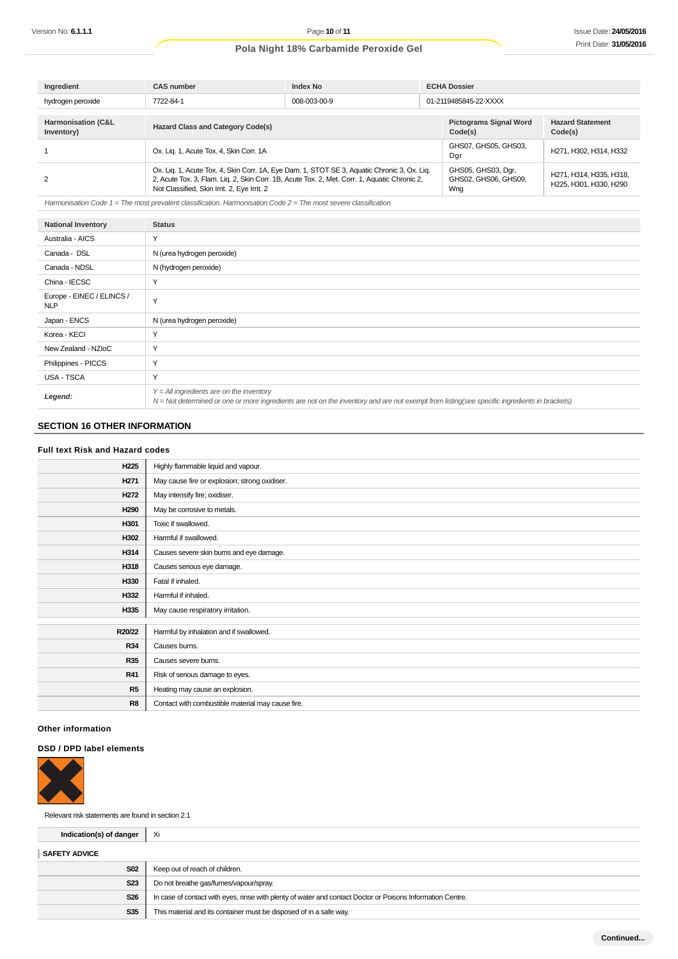| Ingredient                                  | <b>CAS number</b>                                                                                                                                                                                                                          | <b>Index No</b> |                                                   | <b>ECHA Dossier</b>                               |                                    |  |
|---------------------------------------------|--------------------------------------------------------------------------------------------------------------------------------------------------------------------------------------------------------------------------------------------|-----------------|---------------------------------------------------|---------------------------------------------------|------------------------------------|--|
| hydrogen peroxide                           | 008-003-00-9<br>7722-84-1                                                                                                                                                                                                                  |                 |                                                   | 01-2119485845-22-XXXX                             |                                    |  |
|                                             |                                                                                                                                                                                                                                            |                 |                                                   |                                                   |                                    |  |
| <b>Harmonisation (C&amp;L</b><br>Inventory) | <b>Hazard Class and Category Code(s)</b>                                                                                                                                                                                                   |                 |                                                   | <b>Pictograms Signal Word</b><br>Code(s)          | <b>Hazard Statement</b><br>Code(s) |  |
|                                             | Ox. Lig. 1, Acute Tox. 4, Skin Corr. 1A                                                                                                                                                                                                    |                 | GHS07, GHS05, GHS03,<br>Dgr                       | H271, H302, H314, H332                            |                                    |  |
|                                             | Ox. Liq. 1, Acute Tox. 4, Skin Corr. 1A, Eye Dam. 1, STOT SE 3, Aquatic Chronic 3, Ox. Liq.<br>2, Acute Tox. 3, Flam. Liq. 2, Skin Corr. 1B, Acute Tox. 2, Met. Corr. 1, Aquatic Chronic 2,<br>Not Classified, Skin Irrit. 2, Eye Irrit. 2 |                 | GHS05, GHS03, Dgr,<br>GHS02, GHS06, GHS09,<br>Wng | H271, H314, H335, H318,<br>H225, H301, H330, H290 |                                    |  |

Harmonisation Code  $1 =$  The most prevalent classification. Harmonisation Code  $2 =$  The most severe classification.

| <b>National Inventory</b>               | <b>Status</b>                                                                                                                                                                              |
|-----------------------------------------|--------------------------------------------------------------------------------------------------------------------------------------------------------------------------------------------|
| Australia - AICS                        | Y                                                                                                                                                                                          |
| Canada - DSL                            | N (urea hydrogen peroxide)                                                                                                                                                                 |
| Canada - NDSL                           | N (hydrogen peroxide)                                                                                                                                                                      |
| China - IECSC                           | Y                                                                                                                                                                                          |
| Europe - EINEC / ELINCS /<br><b>NLP</b> | Y                                                                                                                                                                                          |
| Japan - ENCS                            | N (urea hydrogen peroxide)                                                                                                                                                                 |
| Korea - KECI                            | Y                                                                                                                                                                                          |
| New Zealand - NZIoC                     | Y                                                                                                                                                                                          |
| Philippines - PICCS                     | Y                                                                                                                                                                                          |
| <b>USA - TSCA</b>                       | Y                                                                                                                                                                                          |
| Legend:                                 | $Y = All$ ingredients are on the inventory<br>N = Not determined or one or more ingredients are not on the inventory and are not exempt from listing(see specific ingredients in brackets) |

# **SECTION 16 OTHER INFORMATION**

### **Full text Risk and Hazard codes**

| H <sub>225</sub> | Highly flammable liquid and vapour.               |
|------------------|---------------------------------------------------|
| H <sub>271</sub> | May cause fire or explosion; strong oxidiser.     |
| H <sub>272</sub> | May intensify fire; oxidiser.                     |
| H290             | May be corrosive to metals.                       |
| H301             | Toxic if swallowed.                               |
| H302             | Harmful if swallowed.                             |
| H314             | Causes severe skin burns and eye damage.          |
| H318             | Causes serious eye damage.                        |
| H330             | Fatal if inhaled.                                 |
| H332             | Harmful if inhaled.                               |
| H335             | May cause respiratory irritation.                 |
|                  |                                                   |
| R20/22           | Harmful by inhalation and if swallowed.           |
| <b>R34</b>       | Causes burns.                                     |
| <b>R35</b>       | Causes severe burns.                              |
| <b>R41</b>       | Risk of serious damage to eyes.                   |
| R5               | Heating may cause an explosion.                   |
| R <sub>8</sub>   | Contact with combustible material may cause fire. |

# **Other information**

### **DSD / DPD label elements**



Relevant risk statements are found in section 2.1

| Indication(s) of danger | - Xi                                                                                                       |
|-------------------------|------------------------------------------------------------------------------------------------------------|
| <b>SAFETY ADVICE</b>    |                                                                                                            |
| <b>S02</b>              | Keep out of reach of children.                                                                             |
| <b>S23</b>              | Do not breathe gas/fumes/vapour/spray.                                                                     |
| <b>S26</b>              | In case of contact with eyes, rinse with plenty of water and contact Doctor or Poisons Information Centre. |
| S35                     | This material and its container must be disposed of in a safe way.                                         |
|                         |                                                                                                            |